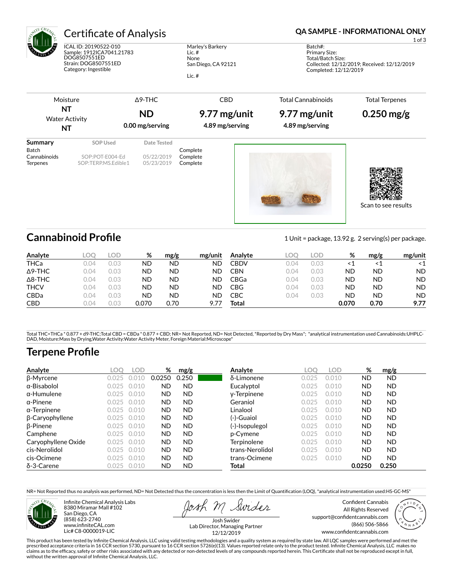

ICAL ID: 20190522-010 Sample: 1912ICA7041.21783 DOG8507551ED Strain: DOG8507551ED Category: Ingestible

Marley's Barkery Lic. # None San Diego, CA 92121

Lic. #

### Certificate of Analysis **Certificate of Analysis QA SAMPLE - INFORMATIONAL ONLY**

1 of 3

Batch#: Primary Size: Total/Batch Size: Collected: 12/12/2019; Received: 12/12/2019 Completed: 12/12/2019

| Moisture              |                     | $\Delta$ 9-THC  | <b>CBD</b>      | <b>Total Cannabinoids</b> | <b>Total Terpenes</b> |
|-----------------------|---------------------|-----------------|-----------------|---------------------------|-----------------------|
| NT                    |                     | <b>ND</b>       | 9.77 mg/unit    | 9.77 mg/unit              | $0.250$ mg/g          |
| <b>Water Activity</b> |                     |                 |                 |                           |                       |
| NT                    |                     | 0.00 mg/serving | 4.89 mg/serving | 4.89 mg/serving           |                       |
| Summary               | SOP Used            | Date Tested     |                 |                           |                       |
| Batch                 |                     |                 | Complete        |                           |                       |
| Cannabinoids          | SOP:POT-E004-Ed     | 05/22/2019      | Complete        |                           |                       |
| <b>Terpenes</b>       | SOP:TERP.MS.Edible1 | 05/23/2019      | Complete        |                           | Scan to see results   |

## **Cannabinoid Profile** 1 Unit = package, 13.92 g. 2 serving(s) per package.

| Analyte        | LOO  | LOD  | %     | mg/g | mg/unit | Analyte     | LOC  | LOD. | %     | mg/g | mg/unit   |
|----------------|------|------|-------|------|---------|-------------|------|------|-------|------|-----------|
| <b>THCa</b>    | 0.04 | 0.03 | ND    | ND   | ND      | <b>CBDV</b> | 0.04 | 0.03 | ≺1    | <1   | $\leq 1$  |
| $\Delta$ 9-THC | 0.04 | 0.03 | ND    | ND   | ND      | <b>CBN</b>  | 0.04 | 0.03 | ND    | ND   | <b>ND</b> |
| $\Delta$ 8-THC | 0.04 | 0.03 | ND    | ND   | ND.     | CBGa        | 0.04 | 0.03 | ND    | ND   | <b>ND</b> |
| <b>THCV</b>    | 0.04 | 0.03 | ND    | ND   | ND      | <b>CBG</b>  | 0.04 | 0.03 | ND    | ND   | <b>ND</b> |
| <b>CBDa</b>    | 0.04 | 0.03 | ND    | ND   | ND      | CBC         | 0.04 | 0.03 | ND    | ND   | <b>ND</b> |
| <b>CBD</b>     | 0.04 | 0.03 | 0.070 | 0.70 |         | Total       |      |      | 0.070 | 0.70 | 9.77      |

Total THC=THCa \* 0.877 + d9-THC;Total CBD = CBDa \* 0.877 + CBD; NR= Not Reported, ND= Not Detected, \*Reported by Dry Mass\*; \*analytical instrumentation used Cannabinoids:UHPLC-DAD, Moisture:Mass by Drying,Water Activity:Water Activity Meter, Foreign Material:Microscope\*

# **Terpene Profile**

| Analyte             | LOC   | <b>LOD</b> | %         | mg/g      | Analyte         | LOO   | <b>LOD</b> | %         | mg/g      |  |
|---------------------|-------|------------|-----------|-----------|-----------------|-------|------------|-----------|-----------|--|
| β-Myrcene           | 0.025 |            | 0.0250    | 0.250     | δ-Limonene      | 0.025 | 0.010      | <b>ND</b> | <b>ND</b> |  |
| $\alpha$ -Bisabolol | 0.025 | 0.010      | <b>ND</b> | <b>ND</b> | Eucalyptol      | 0.025 | 0.010      | <b>ND</b> | <b>ND</b> |  |
| $\alpha$ -Humulene  | 0.025 | 0.010      | <b>ND</b> | <b>ND</b> | y-Terpinene     | 0.025 | 0.010      | <b>ND</b> | <b>ND</b> |  |
| $\alpha$ -Pinene    | 0.025 | 0.010      | <b>ND</b> | <b>ND</b> | Geraniol        | 0.025 | 0.010      | <b>ND</b> | <b>ND</b> |  |
| $\alpha$ -Terpinene | 0.025 | 0.010      | <b>ND</b> | <b>ND</b> | Linalool        | 0.025 | 0.010      | <b>ND</b> | <b>ND</b> |  |
| β-Caryophyllene     | 0.025 | 0.010      | <b>ND</b> | <b>ND</b> | (-)-Guaiol      | 0.025 | 0.010      | <b>ND</b> | <b>ND</b> |  |
| $\beta$ -Pinene     | 0.025 | 0.010      | <b>ND</b> | <b>ND</b> | (-)-Isopulegol  | 0.025 | 0.010      | <b>ND</b> | <b>ND</b> |  |
| Camphene            | 0.025 | 0.010      | <b>ND</b> | <b>ND</b> | p-Cymene        | 0.025 | 0.010      | <b>ND</b> | <b>ND</b> |  |
| Caryophyllene Oxide | 0.025 | 0.010      | <b>ND</b> | <b>ND</b> | Terpinolene     | 0.025 | 0.010      | <b>ND</b> | <b>ND</b> |  |
| cis-Nerolidol       | 0.025 | 0.010      | <b>ND</b> | <b>ND</b> | trans-Nerolidol | 0.025 | 0.010      | <b>ND</b> | <b>ND</b> |  |
| cis-Ocimene         | 0.025 | 0.010      | <b>ND</b> | <b>ND</b> | trans-Ocimene   | 0.025 | 0.010      | <b>ND</b> | <b>ND</b> |  |
| $\delta$ -3-Carene  | 0.025 | 0.010      | <b>ND</b> | <b>ND</b> | Total           |       |            | 0.0250    | 0.250     |  |

NR= Not Reported thus no analysis was performed, ND= Not Detected thus the concentration is less then the Limit of Quantification (LOQ), \*analytical instrumentation used:HS-GC-MS\*



Infinite Chemical Analysis Labs 8380 Miramar Mall #102 San Diego, CA (858) 623-2740 www.infiniteCAL.com Lic# C8-0000019-LIC

Swides

Confident Cannabis All Rights Reserved support@confidentcannabis.com (866) 506-5866 www.confidentcannabis.com



Josh Swider Lab Director, Managing Partner 12/12/2019

This product has been tested by Infinite Chemical Analysis, LLC using valid testing methodologies and a quality system as required by state law. All LQC samples were performed and met the<br>prescribed acceptance criteria in without the written approval of Infinite Chemical Analysis, LLC.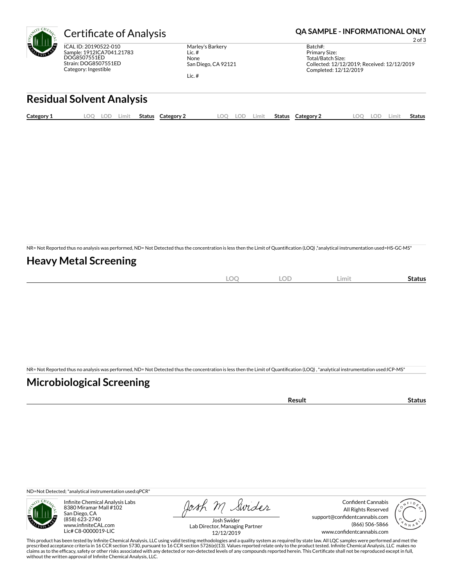

ICAL ID: 20190522-010 Sample: 1912ICA7041.21783 DOG8507551ED Strain: DOG8507551ED Category: Ingestible

Marley's Barkery Lic. # None San Diego, CA 92121 Lic. #

Certificate of Analysis **Certificate of Analysis QA SAMPLE - INFORMATIONAL ONLY** 

2 of 3

Batch#: Primary Size: Total/Batch Size: Collected: 12/12/2019; Received: 12/12/2019 Completed: 12/12/2019

# **Residual Solvent Analysis**

| Category 1 | OO. | LOD | .imit | Status | Category 2 | LOO | ח ה<br>w | .imit | Status | Category 2 | $\Omega$ | LOD. | Limit | Status |
|------------|-----|-----|-------|--------|------------|-----|----------|-------|--------|------------|----------|------|-------|--------|
|            |     |     |       |        |            |     |          |       |        |            |          |      |       |        |

NR= Not Reported thus no analysis was performed, ND= Not Detected thus the concentration is less then the Limit of Quantification (LOQ),\*analytical instrumentation used=HS-GC-MS\*

#### **Heavy Metal Screening**

| ∽<br>м<br>$-$<br>$\sim$ | $\sim$ $\sim$<br>w<br>$\sim$ | Limi | Status |
|-------------------------|------------------------------|------|--------|
|                         |                              |      |        |

NR= Not Reported thus no analysis was performed, ND= Not Detected thus the concentration is less then the Limit of Quantification (LOQ), \*analytical instrumentation used:ICP-MS\*

#### **Microbiological Screening**

| 'esult<br>rс | .us |
|--------------|-----|
|              |     |

ND=Not Detected; \*analytical instrumentation used:qPCR\*



Infinite Chemical Analysis Labs 8380 Miramar Mall #102 San Diego, CA (858) 623-2740 www.infiniteCAL.com Lic# C8-0000019-LIC

Josh M Swider

Confident Cannabis All Rights Reserved support@confidentcannabis.com (866) 506-5866 www.confidentcannabis.com



Josh Swider Lab Director, Managing Partner 12/12/2019

This product has been tested by Infinite Chemical Analysis, LLC using valid testing methodologies and a quality system as required by state law. All LQC samples were performed and met the prescribed acceptance criteria in 16 CCR section 5730, pursuant to 16 CCR section 5726(e)(13). Values reported relate only to the product tested. Infinite Chemical Analysis, LLC makes no<br>claims as to the efficacy, safety o without the written approval of Infinite Chemical Analysis, LLC.